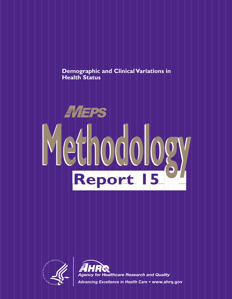-----**Demographic and Clinical Variations in Health Status**





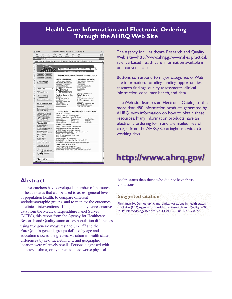# **Health Care Information and Electronic Ordering Through the AHRQ Web Site**



 $\blacksquare$ - The contract of the contract of the contract of the contract of the contract of the contract of the contract of the contract of the contract of the contract of the contract of the contract of the contract of the contract The Agency for Healthcare Research and Quality Web site—http://www.ahrq.gov/—makes practical, science-based health care information available in one convenient place.

the contract of the contract of the contract of the contract of the contract of the contract of the contract of

Buttons correspond to major categories of Web site information, including funding opportunities, research findings, quality assessments, clinical information, consumer health, and data.

About AHRQ Elder Health Media Health Media Health Bural Health Bural Health Mills **Regular Media Area** Media Health Media Media Media Media Media Media Media Media Media Media Media Media Media Media Media Media Media Medi The Web site features an Electronic Catalog to the more than 450 information products generated by AHRQ, with information on how to obtain these resources. Many information products have an charge from the AHRQ Clearinghouse within 5 working days.

# **http://www.ahrq.gov/ http://www.ahrq.gov/**

### **Abstract**

education showed the greatest variation in health status; --Researchers have developed a number of measures of health status that can be used to assess general levels of population health, to compare different sociodemographic groups, and to monitor the outcomes of clinical interventions. Using nationally representative data from the Medical Expenditure Panel Survey (MEPS), this report from the Agency for Healthcare Research and Quality summarizes population differences using two generic measures: the SF-12® and the EuroQol. In general, groups defined by age and differences by sex, race/ethnicity, and geographic location were relatively small. Persons diagnosed with diabetes, asthma, or hypertension had worse physical

tract health status than those who did not have these conditions.

#### **Suggested citation**

ical interventions. Using nationally representative Rockville (MD):Agency for Healthcare Research and Quality; 2005. Fleishman JA. Demographic and clinical variations in health status. MEPS Methodology Report No. 14.AHRQ Pub. No. 05-0022.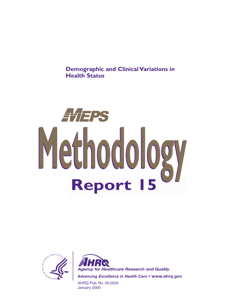**Demographic and Clinical Variations in Health Status**





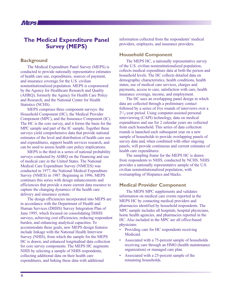# **The Medical Expenditure Panel Survey (MEPS)**

#### **Background**

The Medical Expenditure Panel Survey (MEPS) is conducted to provide nationally representative estimates of health care use, expenditures, sources of payment, and insurance coverage for the U.S. civilian noninstitutionalized population. MEPS is cosponsored by the Agency for Healthcare Research and Quality (AHRQ), formerly the Agency for Health Care Policy and Research, and the National Center for Health Statistics (NCHS).

MEPS comprises three component surveys: the Household Component (HC), the Medical Provider Component (MPC), and the Insurance Component (IC). The HC is the core survey, and it forms the basis for the MPC sample and part of the IC sample. Together these surveys yield comprehensive data that provide national estimates of the level and distribution of health care use and expenditures, support health services research, and can be used to assess health care policy implications.

MEPS is the third in a series of national probability surveys conducted by AHRQ on the financing and use of medical care in the United States. The National Medical Care Expenditure Survey (NMCES) was conducted in 1977, the National Medical Expenditure Survey (NMES) in 1987. Beginning in 1996, MEPS continues this series with design enhancements and efficiencies that provide a more current data resource to capture the changing dynamics of the health care delivery and insurance system.

The design efficiencies incorporated into MEPS are in accordance with the Department of Health and Human Services (DHHS) Survey Integration Plan of June 1995, which focused on consolidating DHHS surveys, achieving cost efficiencies, reducing respondent burden, and enhancing analytical capacities. To accommodate these goals, new MEPS design features include linkage with the National Health Interview Survey (NHIS), from which the sample for the MEPS HC is drawn, and enhanced longitudinal data collection for core survey components. The MEPS HC augments NHIS by selecting a sample of NHIS respondents, collecting additional data on their health care expenditures, and linking these data with additional

information collected from the respondents' medical providers, employers, and insurance providers.

#### **Household Component**

The MEPS HC, a nationally representative survey of the U.S. civilian noninstitutionalized population, collects medical expenditure data at both the person and household levels. The HC collects detailed data on demographic characteristics, health conditions, health status, use of medical care services, charges and payments, access to care, satisfaction with care, health insurance coverage, income, and employment.

The HC uses an overlapping panel design in which data are collected through a preliminary contact followed by a series of five rounds of interviews over a  $2^{1/2}$ -year period. Using computer-assisted personal interviewing (CAPI) technology, data on medical expenditures and use for 2 calendar years are collected from each household. This series of data collection rounds is launched each subsequent year on a new sample of households to provide overlapping panels of survey data and, when combined with other ongoing panels, will provide continuous and current estimates of health care expenditures.

The sampling frame for the MEPS HC is drawn from respondents to NHIS, conducted by NCHS. NHIS provides a nationally representative sample of the U.S. civilian noninstitutionalized population, with oversampling of Hispanics and blacks.

#### **Medical Provider Component**

The MEPS MPC supplements and validates information on medical care events reported in the MEPS HC by contacting medical providers and pharmacies identified by household respondents. The MPC sample includes all hospitals, hospital physicians, home health agencies, and pharmacies reported in the HC. Also included in the MPC are all office-based physicians:

- Providing care for HC respondents receiving Medicaid.
- Associated with a 75-percent sample of households receiving care through an HMO (health maintenance organization) or managed care plan.
- Associated with a 25-percent sample of the remaining households.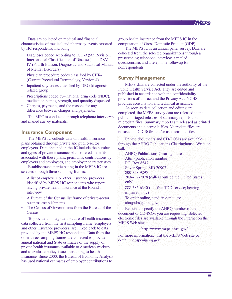

Data are collected on medical and financial characteristics of medical and pharmacy events reported by HC respondents, including:

- Diagnoses coded according to ICD-9 (9th Revision, International Classification of Diseases) and DSM-IV (Fourth Edition, Diagnostic and Statistical Manual of Mental Disorders).
- Physician procedure codes classified by CPT-4 (Current Procedural Terminology, Version 4).
- Inpatient stay codes classified by DRG (diagnosisrelated group).
- Prescriptions coded by– national drug code (NDC), medication names, strength, and quantity dispensed.
- Charges, payments, and the reasons for any difference between charges and payments.

The MPC is conducted through telephone interviews public and mailed survey materials.

#### **Insurance Component**

The MEPS IC collects data on health insurance plans obtained through private and public-sector employers. Data obtained in the IC include the number and types of private insurance plans offered, benefits associated with these plans, premiums, contributions by employers and employees, and employer characteristics.

Establishments participating in the MEPS IC are selected through three sampling frames:

- identified by MEPS HC respondents who report • A list of employers or other insurance providers having private health insurance at the Round 1 interview.
- A Bureau of the Census list frame of private-sector business establishments.
- The Census of Governments from the Bureau of the Census.

 $\overline{u}$  in the second contract of  $\overline{u}$  is the second contract of  $\overline{u}$  in  $\overline{u}$  is the second contract of  $\overline{u}$ -and to evaluate policy issues pertaining to health To provide an integrated picture of health insurance, electrondata collected from the first sampling frame (employers and other insurance providers) are linked back to data provided by the MEPS HC respondents. Data from the other three sampling frames are collected to provide annual national and State estimates of the supply of private health insurance available to American workers insurance. Since 2000, the Bureau of Economic Analysis has used national estimates of employer contributions to

group health insurance from the MEPS IC in the computation of Gross Domestic Product (GDP).

The MEPS IC is an annual panel survey. Data are collected from the selected organizations through a prescreening telephone interview, a mailed questionnaire, and a telephone followup for nonrespondents.

#### **Survey Management**

MEPS data are collected under the authority of the Public Health Service Act. They are edited and published in accordance with the confidentiality provisions of this act and the Privacy Act. NCHS provides consultation and technical assistance.

ne interviews public in staged releases of summary reports and and the contract of the contract of the contract of the contract of the contract of the contract of the contract of the contract of the contract of the contract of the contract of the contract of the contract of the contra As soon as data collection and editing are completed, the MEPS survey data are released to the microdata files. Summary reports are released as printed documents and electronic files. Microdata files are released on CD-ROM and/or as electronic files.

> Printed documents and CD-ROMs are available through the AHRQ Publications Clearinghouse. Write or call:

 The microrous point in staged releases of summary reports and<br>
microdata files. Summary reports are released as printed<br>
documents and electronic files. Microdata files as<br>
unance<br>
Triated documents and CD-ROM and/or as el youthe in stage telemotic stage of summary reports and prime the microscopy of summary reports are released as printed<br>documents and electronic files. Microdata files are<br>reason on D-ROM and/or as electronic files.<br>Summare AHRQ Publications Clearinghouse Attn: (publication number) P.O. Box 8547 Silver Spring, MD 20907 800-358-9295 703-437-2078 (callers outside the United States only) 888-586-6340 (toll-free TDD service; hearing impaired only) To order online, send an e-mail to: ahrqpubs@ahrq.gov.

h insurance, electronic files are available through the Internet on the Be sure to specify the AHRQ number of the document or CD-ROM you are requesting. Selected MEPS Web site:

#### **http://www.meps.ahrq.gov**/

For more information, visit the MEPS Web site or e-mail mepspd@ahrq.gov.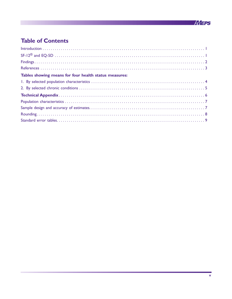

# **Table of Contents**

| Tables showing means for four health status measures: |  |
|-------------------------------------------------------|--|
|                                                       |  |
|                                                       |  |
|                                                       |  |
|                                                       |  |
|                                                       |  |
|                                                       |  |
|                                                       |  |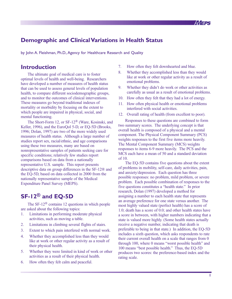

# **Demographic and Clinical Variations in Health Status**

by John A. Fleishman, Ph.D., Agency for Healthcare Research and Quality

### **Introduction**

The ultimate goal of medical care is to foster optimal levels of health and well-being. Researchers have developed a number of measures of health status that can be used to assess general levels of population health, to compare different sociodemographic groups, and to monitor the outcomes of clinical interventions. These measures go beyond traditional indexes of mortality or morbidity by focusing on the extent to which people are impaired in physical, social, and mental functioning.

The Short-Form 12, or SF-12<sup>®</sup> (Ware, Kosinski, and Keller, 1996), and the EuroQol 5-D, or EQ-5D (Brooks, 1996; Dolan, 1997) are two of the more widely used measures of health status. Although a large number of studies report sex, racial/ethnic, and age comparisons using these two measures, many are based on nonrepresentative samples of patients seeking care for specific conditions; relatively few studies report comparisons based on data from a nationally representative U.S. sample. This report presents descriptive data on group differences in the SF-12® and the EQ-5D, based on data collected in 2000 from the nationally representative sample of the Medical Expenditure Panel Survey (MEPS).

# **SF-12® and EQ-5D**

The SF-12® contains 12 questions in which people are asked about the following topics:

- 1. Limitations in performing moderate physical activities, such as moving a table.
- 2. Limitations in climbing several flights of stairs.
- 3. Extent to which pain interfered with normal work.
- 4. Whether they accomplished less than they would like at work or other regular activity as a result of their physical health.
- 5. Whether they were limited in kind of work or other activities as a result of their physical health.
- 6. How often they felt calm and peaceful.
- 7. How often they felt downhearted and blue.
- 8. Whether they accomplished less than they would like at work or other regular activity as a result of emotional problems.
- 9. Whether they didn't do work or other activities as carefully as usual as a result of emotional problems.
- 10. How often they felt that they had a lot of energy.
- 11. How often physical health or emotional problems interfered with social activities.
- 12. Overall rating of health (from excellent to poor).

Responses to these questions are combined to form two summary scores. The underlying concept is that overall health is composed of a physical and a mental component. The Physical Component Summary (PCS) weights responses to the first five items more heavily. The Mental Component Summary (MCS) weights responses to items 6-9 more heavily. The PCS and the MCS each have a mean of 50 and a standard deviation of 10.

The EQ-5D contains five questions about the extent of problems in mobility, self-care, daily activities, pain, and anxiety/depression. Each question has three possible responses: no problem, mild problem, or severe problem. Each possible combination of responses to the five questions constitutes a "health state." In prior research, Dolan (1997) developed a method for assigning a number to each health state that represents an average preference for one state versus another. The most highly valued state (perfect health) has a score of 1.0; death has a score of 0.0; and other health states have a score in between, with higher numbers indicating that a state is valued more highly. (Some health states actually receive a negative number, indicating that death is preferable to being in that state.) In addition, the EQ-5D includes a sixth question, which asks respondents to rate their current overall health on a scale that ranges from 0 through 100, where 0 means "worst possible health" and 100 means "best possible health." Thus, the EQ-5D produces two scores: the preference-based index and the rating scale.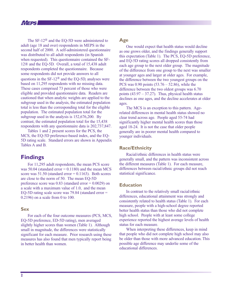The SF-12® and the EQ-5D were administered to adult (age 18 and over) respondents in MEPS in the second half of 2000. A self-administered questionnaire was distributed to all adult respondents (in Spanish when requested). This questionnaire contained the SF-12® and the EQ-5D. Overall, a total of 15,438 adult respondents completed the questionnaire. Because some respondents did not provide answers to all questions in the SF-12® and the EQ-5D, analyses were based on 11,295 respondents with no missing data. These cases comprised 73 percent of those who were eligible and provided questionnaire data. Readers are cautioned that when analytic weights are applied to the subgroup used in the analysis, the estimated population total is less than the corresponding total for the eligible population. The estimated population total for the subgroup used in the analysis is 152,676,200. By contrast, the estimated population total for the 15,438 respondents with any questionnaire data is 202,737,847.

Tables 1 and 2 present scores for the PCS, the MCS, the EQ-5D preference-based index, and the EQ-5D rating scale. Standard errors are shown in Appendix Tables A and B.

# **Findings**

For 11,295 adult respondents, the mean PCS score was  $50.04$  (standard error  $= 0.1180$ ) and the mean MCS score was  $51.50$  (standard error  $= 0.1163$ ). Both scores are close to the norm of 50. The mean EQ-5D preference score was  $0.83$  (standard error  $= 0.0029$ ) on a scale with a maximum value of 1.0, and the mean EQ-5D rating scale score was 79.84 (standard error = 0.2196) on a scale from 0 to 100.

#### **Sex**

For each of the four outcome measures (PCS, MCS, EQ-5D preference, ED-5D rating), men averaged slightly higher scores than women (Table 1). Although small in magnitude, the differences were statistically significant for each measure. Prior research using these measures has also found that men typically report being in better health than women.

#### **Age**

One would expect that health status would decline as one grows older, and the findings generally support this expectation (Table 1). The PCS, EQ-5D preference, and EQ-5D rating scores all dropped consistently from each age group to the next older group. The magnitude of the difference from one group to the next was smaller at younger ages and larger at older ages. For example, the difference between the two youngest groups on the PCS was 0.90 points (53.76 – 52.86), while the difference between the two oldest groups was 6.70 points  $(43.97 - 37.27)$ . Thus, physical health status declines as one ages, and the decline accelerates at older ages.

The MCS is an exception to this pattern. Agerelated differences in mental health status showed no clear trend across age. People aged 55-74 had significantly higher mental health scores than those aged 18-24. It is not the case that older people generally are in poorer mental health compared to younger individuals.

#### **Race/Ethnicity**

Racial/ethnic differences in health status were generally small, and the pattern was inconsistent across the different measures (Table 1). For each measure, differences between racial/ethnic groups did not reach statistical significance.

#### **Education**

In contrast to the relatively small racial/ethnic differences, educational attainment was strongly and consistently related to health status (Table 1). For each measure, people with a high-school degree reported better health status than those who did not complete high school. People with at least some college experience reported the highest average levels of health status for each measure.

When interpreting these differences, keep in mind that people who did not complete high school may also be older than those with more advanced education. This possible age difference may underlie some of the educational differences.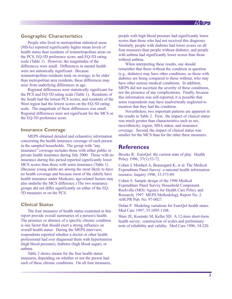#### **Geographic Characteristics**

People who lived in metropolitan statistical areas (MSAs) reported significantly higher mean levels of health status than residents of nonmetropolitan areas on the PCS, EQ-5D preference score, and EQ-5D rating scale (Table 1). However, the magnitudes of the differences were small. Differences in mental health were not statistically significant. Because nonmetropolitan residents tend, on average, to be older than metropolitan area residents, these differences may arise from underlying differences in age.

Regional differences were statistically significant for the PCS and EQ-5D rating scale (Table 1). Residents of the South had the lowest PCS scores, and residents of the West region had the lowest scores on the EQ-5D rating scale. The magnitude of these differences was small. Regional differences were not significant for the MCS or the EQ-5D preference score.

#### **Insurance Coverage**

MEPS obtained detailed and exhaustive information concerning the health insurance coverage of each person in the sampled households. The group with "any insurance" coverage includes those with either public or private health insurance during July 2000. Those with no insurance during this period reported significantly lower MCS scores than those with some insurance (Table 1). (Because young adults are among the most likely to have no health coverage and because most of the elderly have health insurance under Medicare, age-related factors may also underlie the MCS difference.) The two insurance groups did not differ significantly on either of the EQ-5D measures or on the PCS.

#### **Clinical Status**

The four measures of health status examined in this report provide overall summaries of a person's health. The presence or absence of a specific chronic condition is one factor that should exert a strong influence on overall health status. During the MEPS interview, respondents reported whether a doctor or other health professional had ever diagnosed them with hypertension (high blood pressure), diabetes (high blood sugar), or asthma.

Table 2 shows means for the four health status measures, depending on whether or not the person had each of these chronic conditions. On all four measures, people with high blood pressure had significantly lower scores than those who had not received this diagnosis. Similarly, people with diabetes had lower scores on all four measures than people without diabetes, and people with asthma had significantly lower scores than those without asthma.

*eheps* 

When interpreting these results, one should remember that those without the condition in question (e.g., diabetes) may have other conditions, so those with diabetes are being compared to those without, who may have other serious medical conditions. In addition, MEPS did not ascertain the severity of these conditions, nor the presence of any complications. Finally, because this information was self-reported, it is possible that some respondents may have inadvertently neglected to mention that they had the condition.

Nevertheless, two important patterns are apparent in the results in Table 2. First, the impact of clinical status was much greater than characteristics such as sex, race/ethnicity, region, MSA status, and insurance coverage. Second, the impact of clinical status was smaller for the MCS than for the other three measures.

### **References**

Brooks R. EuroQol: the current state of play. Health Policy 1996; 37(1):53-72.

Cohen J, Monheit A, Beauregard K, et al. The Medical Expenditure Panel Survey: a national health information resource. Inquiry 1996; 33:373-89.

Cohen S. Sample design of the 1996 Medical Expenditure Panel Survey Household Component. Rockville (MD): Agency for Health Care Policy and Research; 1997. MEPS Methodology Report No. 2. AHCPR Pub. No. 97-0027.

Dolan P. Modeling variations for EuroQol health states. Med Care 1997; 35:1095-1108.

Ware JE, Kosinski M, Keller SD. A 12-item short-form health survey: construction of scales and preliminary tests of reliability and validity. Med Care 1996; 34:220.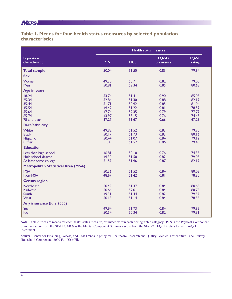### **AVIEPS NUMBER**

### **Table 1. Means for four health status measures by selected population characteristics**

|                                                                      | Health status measure                     |                                           |                                      |                                           |
|----------------------------------------------------------------------|-------------------------------------------|-------------------------------------------|--------------------------------------|-------------------------------------------|
| Population<br>characteristic                                         | <b>PCS</b>                                | <b>MCS</b>                                | EQ-5D<br>preference                  | EQ-5D<br>rating                           |
| <b>Total sample</b>                                                  | 50.04                                     | 51.50                                     | 0.83                                 | 79.84                                     |
| <b>Sex</b>                                                           |                                           |                                           |                                      |                                           |
| Women<br>Men                                                         | 49.30<br>50.81                            | 50.71<br>52.34                            | 0.82<br>0.85                         | 79.05<br>80.68                            |
| Age in years                                                         |                                           |                                           |                                      |                                           |
| $18-24$<br>$25 - 34$<br>35-44<br>45-54<br>55-64                      | 53.76<br>52.86<br>51.71<br>49.42<br>47.74 | 51.41<br>51.30<br>50.92<br>51.22<br>52.35 | 0.90<br>0.88<br>0.85<br>0.81<br>0.79 | 85.05<br>82.19<br>81.04<br>78.59<br>77.79 |
| 65-74                                                                | 43.97                                     | 53.15                                     | 0.76                                 | 74.45                                     |
| 75 and over                                                          | 37.27                                     | 51.67                                     | 0.66                                 | 67.25                                     |
| <b>Race/ethnicity</b>                                                |                                           |                                           |                                      |                                           |
| White<br><b>Black</b><br><b>Hispanic</b><br>Other                    | 49.92<br>50.17<br>50.44<br>51.09          | 51.52<br>51.73<br>51.07<br>51.57          | 0.83<br>0.83<br>0.84<br>0.86         | 79.90<br>80.16<br>79.12<br>79.43          |
| <b>Education</b>                                                     |                                           |                                           |                                      |                                           |
| Less than high school<br>High school degree<br>At least some college | 46.81<br>49.30<br>51.59                   | 50.10<br>51.50<br>51.96                   | 0.76<br>0.82<br>0.87                 | 74.35<br>79.03<br>82.19                   |
| <b>Metropolitan Statistical Area (MSA)</b>                           |                                           |                                           |                                      |                                           |
| <b>MSA</b><br>Non-MSA                                                | 50.36<br>48.67                            | 51.52<br>$51.42$                          | 0.84<br>0.81                         | 80.08<br>78.80                            |
| <b>Census region</b>                                                 |                                           |                                           |                                      |                                           |
| <b>Northeast</b><br><b>Midwest</b><br>South<br><b>West</b>           | 50.49<br>50.66<br>49.31<br>50.13          | 51.37<br>52.01<br>51.44<br>51.14          | 0.84<br>0.84<br>0.82<br>0.84         | 80.65<br>80.78<br>79.57<br>78.55          |
| Any insurance (July 2000)                                            |                                           |                                           |                                      |                                           |
| Yes<br><b>No</b>                                                     | 49.94<br>50.54                            | 51.73<br>50.34                            | 0.84<br>0.82                         | 79.95<br>79.31                            |

**Note:** Table entries are means for each health status measure, estimated within each demographic category. PCS is the Physical Component Summary score from the SF-12®; MCS is the Mental Component Summary score from the SF-12®. EQ-5D refers to the EuroQol instrument.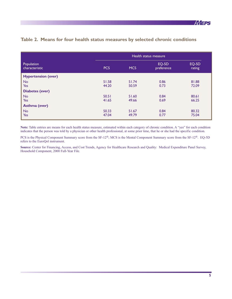|                              | Health status measure |            |                     |                 |
|------------------------------|-----------------------|------------|---------------------|-----------------|
| Population<br>characteristic | <b>PCS</b>            | <b>MCS</b> | EQ-5D<br>preference | EQ-5D<br>rating |
| <b>Hypertension (ever)</b>   |                       |            |                     |                 |
| <b>No</b>                    | 51.58                 | 51.74      | 0.86                | 81.88           |
| <b>Yes</b>                   | 44.20                 | 50.59      | 0.73                | 72.09           |
| <b>Diabetes (ever)</b>       |                       |            |                     |                 |
| <b>No</b>                    | 50.51                 | 51.60      | 0.84                | 80.61           |
| Yes                          | 41.65                 | 49.66      | 0.69                | 66.25           |
| Asthma (ever)                |                       |            |                     |                 |
| <b>No</b>                    | 50.33                 | 51.67      | 0.84                | 80.32           |
| <b>Yes</b>                   | 47.04                 | 49.79      | 0.77                | 75.04           |

### **Table 2. Means for four health status measures by selected chronic conditions**

**Note:** Table entries are means for each health status measure, estimated within each category of chronic condition. A "yes" for each condition indicates that the person was told by a physician or other health professional, at some prior time, that he or she had the specific condition.

PCS is the Physical Component Summary score from the SF-12®; MCS is the Mental Component Summary score from the SF-12®. EQ-5D refers to the EuroQol instrument.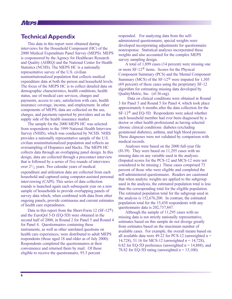### *AHEPS NINK*

### **Technical Appendix**

This data in this report were obtained during interviews for the Household Component (HC) of the 2000 Medical Expenditure Panel Survey (MEPS). MEPS is cosponsored by the Agency for Healthcare Research and Quality (AHRQ) and the National Center for Health Statistics (NCHS). The MEPS HC is a nationally representative survey of the U.S. civilian noninstitutionalized population that collects medical expenditure data at both the person and household levels. The focus of the MEPS HC is to collect detailed data on demographic characteristics, health conditions, health status, use of medical care services, charges and payments, access to care, satisfaction with care, health insurance coverage, income, and employment. In other components of MEPS, data are collected on the use, charges, and payments reported by providers and on the supply side of the health insurance market.

The sample for the 2000 MEPS HC was selected from respondents to the 1999 National Health Interview Survey (NHIS), which was conducted by NCHS. NHIS provides a nationally representative sample of the U.S. civilian noninstitutionalized population and reflects an oversampling of Hispanics and blacks. The MEPS HC collects data through an overlapping panel design. In this design, data are collected through a precontact interview that is followed by a series of five rounds of interviews over  $2^{1/2}$  years. Two calendar years of medical expenditure and utilization data are collected from each household and captured using computer-assisted personal interviewing (CAPI). This series of data collection rounds is launched again each subsequent year on a new sample of households to provide overlapping panels of survey data which, when combined with data from other ongoing panels, provide continuous and current estimates of health care expenditures.

Data in this report from the Short-Form 12 (SF-12<sup>®</sup>) and the EuroQol 5-D (EQ-5D) were obtained in the second half of 2000, in Round 2 for Panel 5 and Round 4 for Panel 4. Questionnaires containing these instruments, as well as other unrelated questions on health care experiences, were distributed to adult MEPS respondents (those aged 18 and older as of July 2000). Respondents completed the questionnaires at their convenience and returned them by mail. Of those eligible to receive the questionnaire, 93.5 percent

responded. For analyzing data from the selfadministered questionnaire, special weights were developed incorporating adjustments for questionnaire nonresponse. Statistical analyses incorporated these weights and also accounted for the complex MEPS survey sampling design.

A total of 1,899 cases (14 percent) were missing one or more SF-12® items. Scores for the Physical Component Summary (PCS) and the Mental Component Summary (MCS) of the SF-12® were imputed for 1,305 (69 percent) of these cases using the proprietary SF-12 algorithm for estimating missing data developed by QualityMetric, Inc. (sf-36.org).

Data on clinical conditions were obtained in Round 3 for Panel 5 and Round 5 for Panel 4, which took place approximately 6 months after the data collection for the SF-12® and EQ-5D. Respondents were asked whether each household member had ever been diagnosed by a doctor or other health professional as having selected chronic clinical conditions: diabetes (excluding gestational diabetes), asthma, and high blood pressure. These diagnoses were not validated by comparison with medical records.

Analyses were based on the 2000 full-year file (H-39). They were based on 11,295 cases with no missing data on any variable used in the analyses. (Imputed scores for the PCS-12 and MCS-12 were not considered to be missing.) These cases comprised 73 percent of those who were eligible and completed the self-administered questionnaire. Readers are cautioned that when analytic weights are applied to the subgroup used in the analysis, the estimated population total is less than the corresponding total for the eligible population. The estimated population total for the subgroup used in the analysis is 152,676,200. In contrast, the estimated population total for the 15,438 respondents with any questionnaire data is 202,737,847.

Although the sample of 11,295 cases with no missing data is not strictly nationally representative, estimates based on this sample do not diverge greatly from estimates based on the maximum number of available cases. For example, the overall means based on all available data were 49.22 for PCS-12 (unweighted  $n =$ 14,728), 51.16 for MCS-12 (unweighted n = 14,728), 0.82 for EQ-5D preference (unweighted  $n = 14,888$ ), and 78.82 for EQ-5D rating (unweighted  $n = 13,100$ ).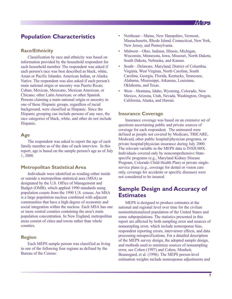

# **Population Characteristics**

#### **Race/Ethnicity**

Classification by race and ethnicity was based on information provided by the household respondent for each household member. The respondent was asked if each person's race was best described as black, white, Asian or Pacific Islander, American Indian, or Alaska Native. The respondent was also asked if each person's main national origin or ancestry was Puerto Rican; Cuban; Mexican, Mexicano, Mexican American, or Chicano; other Latin American; or other Spanish. Persons claiming a main national origin or ancestry in one of these Hispanic groups, regardless of racial background, were classified as Hispanic. Since the Hispanic grouping can include persons of any race, the race categories of black, white, and other do not include Hispanic.

#### **Age**

The respondent was asked to report the age of each family member as of the date of each interview. In this report, age is based on the sample person's age as of July 1, 2000.

#### **Metropolitan Statistical Area**

Individuals were identified as residing either inside or outside a metropolitan statistical area (MSA) as designated by the U.S. Office of Management and Budget (OMB), which applied 1990 standards using population counts from the 1990 U.S. census. An MSA is a large population nucleus combined with adjacent communities that have a high degree of economic and social integration within the nucleus. Each MSA has one or more central counties containing the area's main population concentration. In New England, metropolitan areas consist of cities and towns rather than whole counties.

#### **Region**

Each MEPS sample person was classified as living in one of the following four regions as defined by the Bureau of the Census:

- Northeast—Maine, New Hampshire, Vermont, Massachusetts, Rhode Island, Connecticut, New York, New Jersey, and Pennsylvania.
- Midwest—Ohio, Indiana, Illinois, Michigan, Wisconsin, Minnesota, Iowa, Missouri, North Dakota, South Dakota, Nebraska, and Kansas.
- South—Delaware, Maryland, District of Columbia, Virginia, West Virginia, North Carolina, South Carolina, Georgia, Florida, Kentucky, Tennessee, Alabama, Mississippi, Arkansas, Louisiana, Oklahoma, and Texas.
- West—Montana, Idaho, Wyoming, Colorado, New Mexico, Arizona, Utah, Nevada, Washington, Oregon, California, Alaska, and Hawaii.

#### **Insurance Coverage**

Insurance coverage was based on an extensive set of questions ascertaining public and private sources of coverage for each respondent. The uninsured were defined as people not covered by Medicare, TRICARE, Medicaid, other public hospital/physician programs, or private hospital/physician insurance during July 2000. The relevant variable in the MEPS data is INSJU00X. Individuals covered only by noncomprehensive Statespecific programs (e.g., Maryland Kidney Disease Program, Colorado Child Health Plan) or private singleservice plans (e.g., coverage for dental or vision care only, coverage for accidents or specific diseases) were not considered to be insured.

# **Sample Design and Accuracy of Estimates**

MEPS is designed to produce estimates at the national and regional level over time for the civilian noninstitutionalized population of the United States and some subpopulations. The statistics presented in this report are affected by both sampling error and sources of nonsampling error, which include nonresponse bias, respondent reporting errors, interviewer effects, and data processing misspecifications. For a detailed description of the MEPS survey design, the adopted sample design, and methods used to minimize sources of nonsampling error, see Cohen (1997) and Cohen, Monheit, Beauregard, et al. (1996). The MEPS person-level estimation weights include nonresponse adjustments and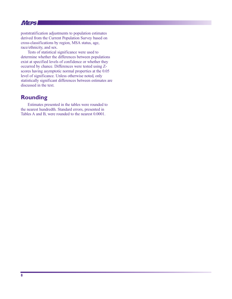*AYIEPS NINE* 

poststratification adjustments to population estimates derived from the Current Population Survey based on cross-classifications by region, MSA status, age, race/ethnicity, and sex.

Tests of statistical significance were used to determine whether the differences between populations exist at specified levels of confidence or whether they occurred by chance. Differences were tested using Zscores having asymptotic normal properties at the 0.05 level of significance. Unless otherwise noted, only statistically significant differences between estimates are discussed in the text.

# **Rounding**

Estimates presented in the tables were rounded to the nearest hundredth. Standard errors, presented in Tables A and B, were rounded to the nearest 0.0001.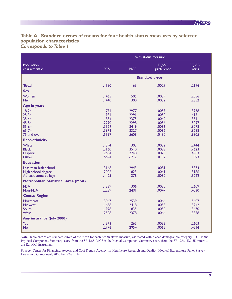### **Table A. Standard errors of means for four health status measures by selected population characteristics** *Corresponds to Table 1*

|                                                                                                                  | Health status measure                                       |                                                             |                                                             |                                                             |
|------------------------------------------------------------------------------------------------------------------|-------------------------------------------------------------|-------------------------------------------------------------|-------------------------------------------------------------|-------------------------------------------------------------|
| Population<br>characteristic                                                                                     | <b>PCS</b>                                                  | <b>MCS</b>                                                  | EQ-5D<br>preference                                         | EQ-5D<br>rating                                             |
|                                                                                                                  | <b>Standard error</b>                                       |                                                             |                                                             |                                                             |
| <b>Total</b><br><b>Sex</b>                                                                                       | .1180                                                       | .1163                                                       | .0029                                                       | .2196                                                       |
| Women<br>Men                                                                                                     | .1465<br>.1440                                              | .1505<br>.1300                                              | .0039<br>.0032                                              | .2556<br>.2852                                              |
| Age in years<br>$18-24$<br>$25 - 34$<br>35-44<br>45-54<br>55-64<br>65-74<br>75 and over<br><b>Race/ethnicity</b> | .1771<br>.1981<br>.1834<br>.2290<br>.3529<br>.3673<br>.5157 | .2977<br>.2291<br>.2375<br>.2298<br>.3419<br>.3327<br>.5608 | .0057<br>.0050<br>.0042<br>.0056<br>.0086<br>.0082<br>.0130 | .3938<br>.4151<br>.3511<br>.5097<br>.6078<br>.6288<br>.9905 |
| White<br><b>Black</b><br>Hispanic<br>Other                                                                       | .1394<br>.3160<br>.2664<br>.5694                            | .1303<br>.3510<br>.2748<br>.6712                            | .0032<br>.0083<br>.0070<br>.0132                            | .2444<br>.7623<br>.4963<br>1.393                            |
| <b>Education</b>                                                                                                 |                                                             |                                                             |                                                             |                                                             |
| Less than high school<br>High school degree<br>At least some college                                             | .3168<br>.2006<br>.1425                                     | .2943<br>.1823<br>.1378                                     | .0081<br>.0041<br>.0030                                     | .5874<br>.3186<br>.3222                                     |
| Metropolitan Statistical Area (MSA)                                                                              |                                                             |                                                             |                                                             |                                                             |
| <b>MSA</b><br>Non-MSA                                                                                            | .1339<br>.2289                                              | .1306<br>.2491                                              | .0035<br>.0047                                              | .2609<br>.4030                                              |
| <b>Census Region</b>                                                                                             |                                                             |                                                             |                                                             |                                                             |
| Northeast<br><b>Midwest</b><br>South<br><b>West</b>                                                              | .3067<br>.1638<br>.1998<br>.2508                            | .2539<br>.2418<br>.1835<br>.2378                            | .0066<br>.0058<br>.0050<br>.0064                            | .5607<br>.3942<br>.3670<br>.3858                            |
| Any insurance (July 2000)                                                                                        |                                                             |                                                             |                                                             |                                                             |
| Yes<br><b>No</b>                                                                                                 | .1343<br>.2776                                              | .1265<br>.2954                                              | .0032<br>.0065                                              | .2603<br>.4514                                              |

**Note:** Table entries are standard errors of the mean for each health status measure, estimated within each demographic category. PCS is the Physical Component Summary score from the SF-12®; MCS is the Mental Component Summary score from the SF-12®. EQ-5D refers to the EuroQol instrument.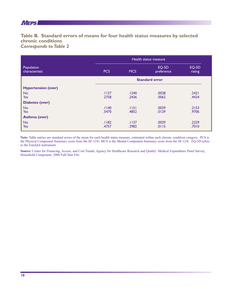### **AYIEPS NUMBER**

### **Table B. Standard errors of means for four health status measures by selected chronic conditions**  *Corresponds to Table 2*

|                              | Health status measure |            |                     |                 |
|------------------------------|-----------------------|------------|---------------------|-----------------|
| Population<br>characteristic | <b>PCS</b>            | <b>MCS</b> | EQ-5D<br>preference | EQ-5D<br>rating |
|                              | <b>Standard error</b> |            |                     |                 |
| <b>Hypertension (ever)</b>   |                       |            |                     |                 |
| <b>No</b>                    | .1127                 | .1240      | .0028               | .2421           |
| <b>Yes</b>                   | .2758                 | .2436      | .0062               | .4424           |
| <b>Diabetes (ever)</b>       |                       |            |                     |                 |
| <b>No</b>                    | .1140                 | .1151      | .0029               | .2153           |
| <b>Yes</b>                   | .5470                 | .4852      | .0129               | .9706           |
| Asthma (ever)                |                       |            |                     |                 |
| <b>No</b>                    | .1182                 | .1137      | .0029               | .2229           |
| <b>Yes</b>                   | .4757                 | .3982      | .0115               | .7010           |

**Note:** Table entries are standard errors of the mean for each health status measure, estimated within each chronic condition category. PCS is the Physical Component Summary score from the SF-12®; MCS is the Mental Component Summary score from the SF-12®. EQ-5D refers to the EuroQol instrument.